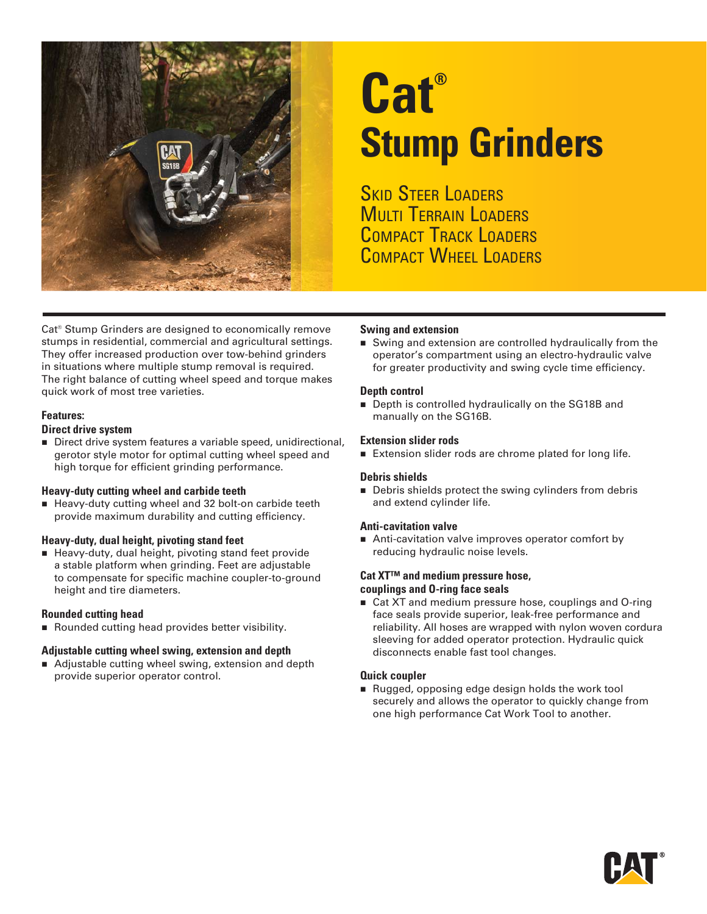

# **Cat® Stump Grinders**

**SKID STEER LOADERS MULTI TERRAIN LOADERS** COMPACT TRACK LOADERS COMPACT WHEEL LOADERS

Cat® Stump Grinders are designed to economically remove stumps in residential, commercial and agricultural settings. They offer increased production over tow-behind grinders in situations where multiple stump removal is required. The right balance of cutting wheel speed and torque makes quick work of most tree varieties.

#### **Features:**

#### **Direct drive system**

Direct drive system features a variable speed, unidirectional, gerotor style motor for optimal cutting wheel speed and high torque for efficient grinding performance.

#### **Heavy-duty cutting wheel and carbide teeth**

Heavy-duty cutting wheel and 32 bolt-on carbide teeth provide maximum durability and cutting efficiency.

#### **Heavy-duty, dual height, pivoting stand feet**

Heavy-duty, dual height, pivoting stand feet provide a stable platform when grinding. Feet are adjustable to compensate for specific machine coupler-to-ground height and tire diameters.

#### **Rounded cutting head**

Rounded cutting head provides better visibility.

#### **Adjustable cutting wheel swing, extension and depth**

■ Adjustable cutting wheel swing, extension and depth provide superior operator control.

#### **Swing and extension**

Swing and extension are controlled hydraulically from the operator's compartment using an electro-hydraulic valve for greater productivity and swing cycle time efficiency.

#### **Depth control**

Depth is controlled hydraulically on the SG18B and manually on the SG16B.

#### **Extension slider rods**

Extension slider rods are chrome plated for long life.

#### **Debris shields**

Debris shields protect the swing cylinders from debris and extend cylinder life.

#### **Anti-cavitation valve**

Anti-cavitation valve improves operator comfort by reducing hydraulic noise levels.

#### **Cat XT™ and medium pressure hose, couplings and O-ring face seals**

■ Cat XT and medium pressure hose, couplings and O-ring face seals provide superior, leak-free performance and reliability. All hoses are wrapped with nylon woven cordura sleeving for added operator protection. Hydraulic quick disconnects enable fast tool changes.

#### **Quick coupler**

Rugged, opposing edge design holds the work tool securely and allows the operator to quickly change from one high performance Cat Work Tool to another.

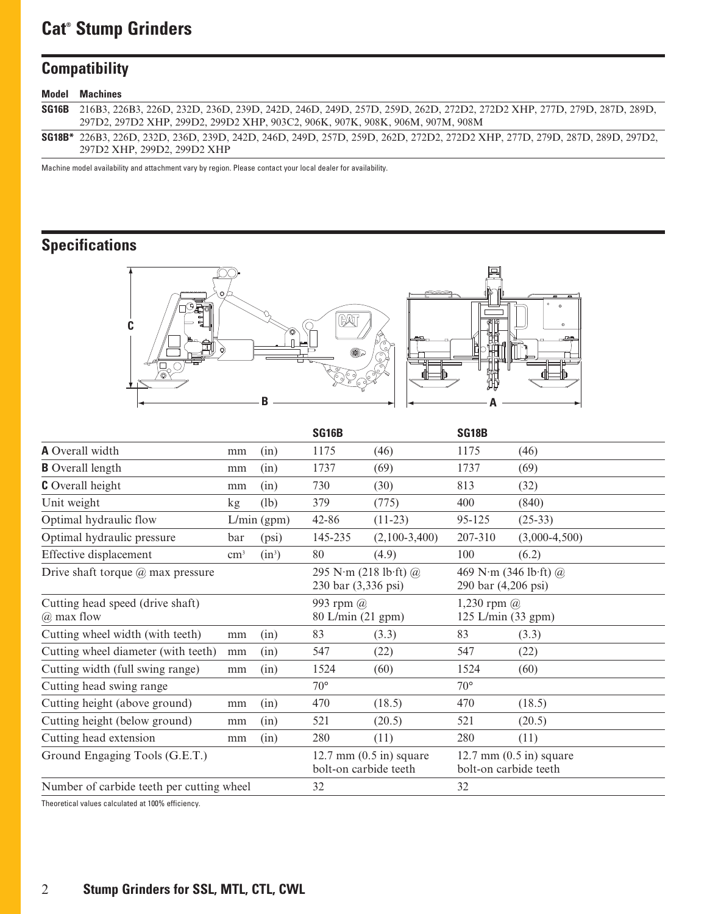## **Cat® Stump Grinders**

## **Compatibility**

| Model | <b>Machines</b>                                                                                                                   |
|-------|-----------------------------------------------------------------------------------------------------------------------------------|
|       | <b>SG16B</b> 216B3, 226B3, 226D, 232D, 236D, 239D, 242D, 246D, 249D, 257D, 259D, 262D, 272D2, 272D2 XHP, 277D, 279D, 287D, 289D,  |
|       | 297D2, 297D2 XHP, 299D2, 299D2 XHP, 903C2, 906K, 907K, 908K, 906M, 907M, 908M                                                     |
|       | <b>SG18B*</b> 226B3, 226D, 232D, 236D, 239D, 242D, 246D, 249D, 257D, 259D, 262D, 272D2, 272D2 XHP, 277D, 279D, 287D, 289D, 297D2, |
|       | 297D2 XHP, 299D2, 299D2 XHP                                                                                                       |

Machine model availability and attachment vary by region. Please contact your local dealer for availability.

## **Specifications**



|                                                |               |             | SG16B                                                |                 | <b>SG18B</b>                                         |                 |
|------------------------------------------------|---------------|-------------|------------------------------------------------------|-----------------|------------------------------------------------------|-----------------|
| <b>A</b> Overall width                         | mm            | (in)        | 1175                                                 | (46)            | 1175                                                 | (46)            |
| <b>B</b> Overall length                        | mm            | (in)        | 1737                                                 | (69)            | 1737                                                 | (69)            |
| <b>C</b> Overall height                        | mm            | (in)        | 730                                                  | (30)            | 813                                                  | (32)            |
| Unit weight                                    | kg            | (lb)        | 379                                                  | (775)           | 400                                                  | (840)           |
| Optimal hydraulic flow                         |               | L/min (gpm) | 42-86                                                | $(11-23)$       | 95-125                                               | $(25-33)$       |
| Optimal hydraulic pressure                     | bar           | (psi)       | 145-235                                              | $(2,100-3,400)$ | 207-310                                              | $(3,000-4,500)$ |
| Effective displacement                         | $\text{cm}^3$ | $(in^3)$    | 80                                                   | (4.9)           | 100                                                  | (6.2)           |
| Drive shaft torque $(a)$ max pressure          |               |             | 295 N·m (218 lb·ft) $@$<br>230 bar (3,336 psi)       |                 | 469 N·m (346 lb·ft) $@$<br>290 bar (4,206 psi)       |                 |
| Cutting head speed (drive shaft)<br>@ max flow |               |             | 993 rpm @<br>80 L/min (21 gpm)                       |                 | 1,230 rpm $\omega$<br>125 L/min (33 gpm)             |                 |
| Cutting wheel width (with teeth)               | mm            | (in)        | 83                                                   | (3.3)           | 83                                                   | (3.3)           |
| Cutting wheel diameter (with teeth)            | mm            | (in)        | 547                                                  | (22)            | 547                                                  | (22)            |
| Cutting width (full swing range)               | mm            | (in)        | 1524                                                 | (60)            | 1524                                                 | (60)            |
| Cutting head swing range                       |               |             | $70^{\circ}$                                         |                 | $70^{\circ}$                                         |                 |
| Cutting height (above ground)                  | mm            | (in)        | 470                                                  | (18.5)          | 470                                                  | (18.5)          |
| Cutting height (below ground)                  | mm            | (in)        | 521                                                  | (20.5)          | 521                                                  | (20.5)          |
| Cutting head extension                         | mm            | (in)        | 280                                                  | (11)            | 280                                                  | (11)            |
| Ground Engaging Tools (G.E.T.)                 |               |             | $12.7$ mm $(0.5$ in) square<br>bolt-on carbide teeth |                 | $12.7$ mm $(0.5$ in) square<br>bolt-on carbide teeth |                 |
| Number of carbide teeth per cutting wheel      | 32            |             | 32                                                   |                 |                                                      |                 |

Theoretical values calculated at 100% efficiency.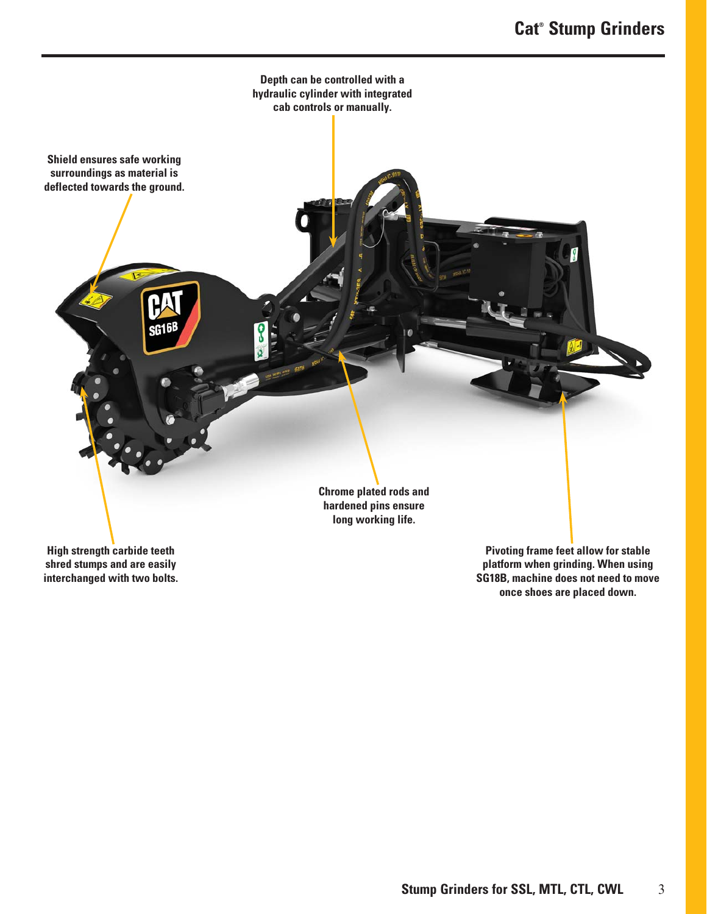

**shred stumps and are easily interchanged with two bolts.**

**platform when grinding. When using SG18B, machine does not need to move once shoes are placed down.**